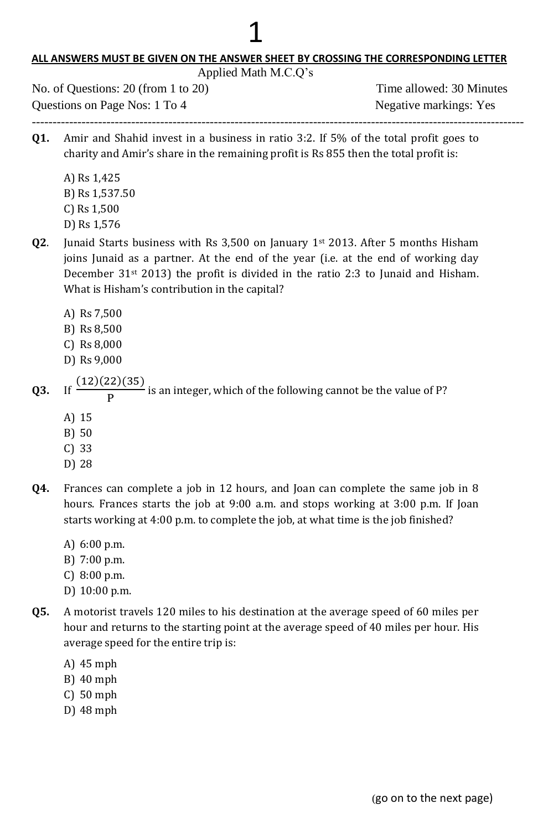#### **ALL ANSWERS MUST BE GIVEN ON THE ANSWER SHEET BY CROSSING THE CORRESPONDING LETTER**

1

| <u>ALL ANSWERS MUST BE GIVEN ON THE ANSWER SHEET BY CROSSING THE CORRESPONDING LETTER </u><br>Applied Math M.C.Q's |                                                                                                                                                                                                                                                                                                                                          |                                                           |
|--------------------------------------------------------------------------------------------------------------------|------------------------------------------------------------------------------------------------------------------------------------------------------------------------------------------------------------------------------------------------------------------------------------------------------------------------------------------|-----------------------------------------------------------|
| No. of Questions: $20$ (from 1 to $20$ )<br>Questions on Page Nos: 1 To 4                                          |                                                                                                                                                                                                                                                                                                                                          | Time allowed: 30 Minutes<br><b>Negative markings: Yes</b> |
| Q1.                                                                                                                | Amir and Shahid invest in a business in ratio 3:2. If 5% of the total profit goes to<br>charity and Amir's share in the remaining profit is Rs 855 then the total profit is:<br>A) Rs 1,425<br>B) Rs 1,537.50<br>$C$ ) Rs 1,500                                                                                                          |                                                           |
| Q2.                                                                                                                | D) Rs 1,576<br>Junaid Starts business with Rs $3,500$ on January 1 <sup>st</sup> 2013. After 5 months Hisham<br>joins Junaid as a partner. At the end of the year (i.e. at the end of working day<br>December $31st$ 2013) the profit is divided in the ratio 2:3 to Junaid and Hisham.<br>What is Hisham's contribution in the capital? |                                                           |
|                                                                                                                    | A) Rs 7,500<br>B) Rs 8,500<br>$C)$ Rs 8,000<br>D) Rs 9,000                                                                                                                                                                                                                                                                               |                                                           |
| Q3.                                                                                                                | $\frac{(12)(22)(35)}{P}$ is an integer, which of the following cannot be the value of P?<br>If<br>A) 15<br>B) 50<br>$C)$ 33                                                                                                                                                                                                              |                                                           |

- D) 28
- **Q4.** Frances can complete a job in 12 hours, and Joan can complete the same job in 8 hours. Frances starts the job at 9:00 a.m. and stops working at 3:00 p.m. If Joan starts working at 4:00 p.m. to complete the job, at what time is the job finished?
	- A) 6:00 p.m.
	- B) 7:00 p.m.
	- C) 8:00 p.m.
	- D) 10:00 p.m.
- **Q5.** A motorist travels 120 miles to his destination at the average speed of 60 miles per hour and returns to the starting point at the average speed of 40 miles per hour. His average speed for the entire trip is:
	- A) 45 mph
	- B) 40 mph
	- C) 50 mph
	- D) 48 mph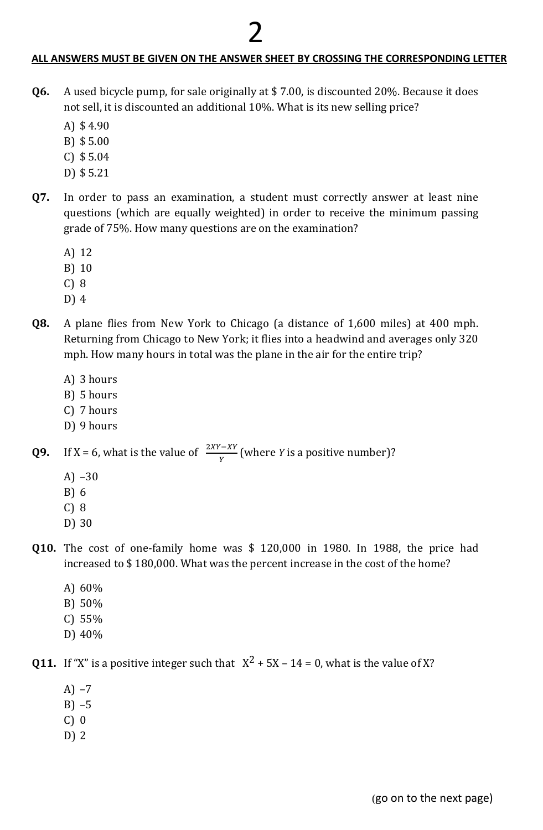# 2

#### **ALL ANSWERS MUST BE GIVEN ON THE ANSWER SHEET BY CROSSING THE CORRESPONDING LETTER**

- **Q6.** A used bicycle pump, for sale originally at \$ 7.00, is discounted 20%. Because it does not sell, it is discounted an additional 10%. What is its new selling price?
	- A) \$ 4.90
	- B) \$ 5.00
	- C) \$ 5.04
	- D) \$ 5.21
- **Q7.** In order to pass an examination, a student must correctly answer at least nine questions (which are equally weighted) in order to receive the minimum passing grade of 75%. How many questions are on the examination?
	- A) 12
	- B) 10
	- C) 8
	- D) 4
- **Q8.** A plane flies from New York to Chicago (a distance of 1,600 miles) at 400 mph. Returning from Chicago to New York; it flies into a headwind and averages only 320 mph. How many hours in total was the plane in the air for the entire trip?
	- A) 3 hours
	- B) 5 hours
	- C) 7 hours
	- D) 9 hours

**Q9.** If X = 6, what is the value of  $\frac{2M-2I}{Y}$  (where *Y* is a positive number)?

- A) –30
- B) 6
- C) 8
- D) 30
- **Q10.** The cost of one-family home was \$ 120,000 in 1980. In 1988, the price had increased to \$ 180,000. What was the percent increase in the cost of the home?
	- A) 60%
	- B) 50%
	- C) 55%
	- D) 40%

**Q11.** If "X" is a positive integer such that  $X^2 + 5X - 14 = 0$ , what is the value of X?

- A) –7
- B) –5
- C) 0
- D) 2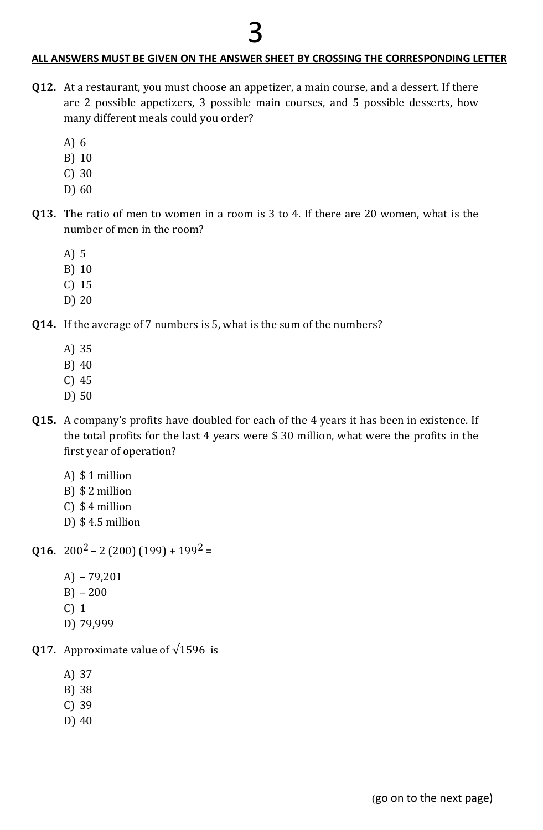# 3

## **ALL ANSWERS MUST BE GIVEN ON THE ANSWER SHEET BY CROSSING THE CORRESPONDING LETTER**

- **Q12.** At a restaurant, you must choose an appetizer, a main course, and a dessert. If there are 2 possible appetizers, 3 possible main courses, and 5 possible desserts, how many different meals could you order?
	- A) 6
	- B) 10
	- C) 30
	- D) 60
- **Q13.** The ratio of men to women in a room is 3 to 4. If there are 20 women, what is the number of men in the room?
	- A) 5
	- B) 10
	- C) 15
	- D) 20
- **Q14.** If the average of 7 numbers is 5, what is the sum of the numbers?
	- A) 35
	- B) 40
	- C) 45
	- D) 50
- **Q15.** A company's profits have doubled for each of the 4 years it has been in existence. If the total profits for the last 4 years were \$ 30 million, what were the profits in the first year of operation?
	- A) \$ 1 million
	- B) \$ 2 million
	- C) \$ 4 million
	- D) \$ 4.5 million

**Q16.**  $200^2 - 2(200)(199) + 199^2 =$ 

- A) 79,201
- B) 200
- C) 1
- D) 79,999

**Q17.** Approximate value of  $\sqrt{1596}$  is

- A) 37
- B) 38
- C) 39
- D) 40